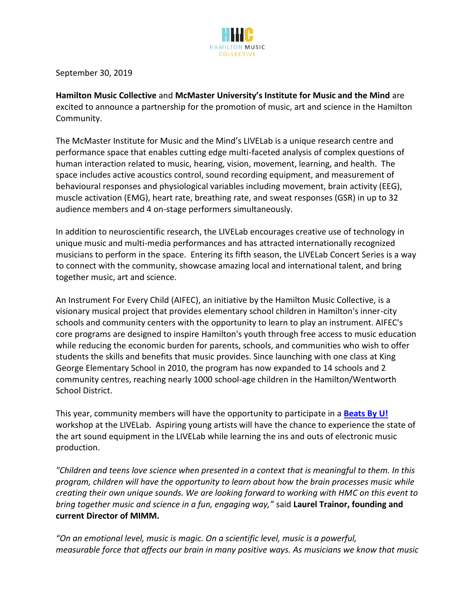

September 30, 2019

**Hamilton Music Collective** and **McMaster University's Institute for Music and the Mind** are excited to announce a partnership for the promotion of music, art and science in the Hamilton Community.

The McMaster Institute for Music and the Mind's LIVELab is a unique research centre and performance space that enables cutting edge multi-faceted analysis of complex questions of human interaction related to music, hearing, vision, movement, learning, and health. The space includes active acoustics control, sound recording equipment, and measurement of behavioural responses and physiological variables including movement, brain activity (EEG), muscle activation (EMG), heart rate, breathing rate, and sweat responses (GSR) in up to 32 audience members and 4 on-stage performers simultaneously.

In addition to neuroscientific research, the LIVELab encourages creative use of technology in unique music and multi-media performances and has attracted internationally recognized musicians to perform in the space. Entering its fifth season, the LIVELab Concert Series is a way to connect with the community, showcase amazing local and international talent, and bring together music, art and science.

An Instrument For Every Child (AIFEC), an initiative by the Hamilton Music Collective, is a visionary musical project that provides elementary school children in Hamilton's inner-city schools and community centers with the opportunity to learn to play an instrument. AIFEC's core programs are designed to inspire Hamilton's youth through free access to music education while reducing the economic burden for parents, schools, and communities who wish to offer students the skills and benefits that music provides. Since launching with one class at King George Elementary School in 2010, the program has now expanded to 14 schools and 2 community centres, reaching nearly 1000 school-age children in the Hamilton/Wentworth School District.

This year, community members will have the opportunity to participate in a **[Beats By U!](https://hamiltonmusiccollective.ca/programs/beats-by-you/)** workshop at the LIVELab. Aspiring young artists will have the chance to experience the state of the art sound equipment in the LIVELab while learning the ins and outs of electronic music production.

*"Children and teens love science when presented in a context that is meaningful to them. In this program, children will have the opportunity to learn about how the brain processes music while creating their own unique sounds. We are looking forward to working with HMC on this event to bring together music and science in a fun, engaging way,"* said **Laurel Trainor, founding and current Director of MIMM.** 

*"On an emotional level, music is magic. On a scientific level, music is a powerful, measurable force that affects our brain in many positive ways. As musicians we know that music*